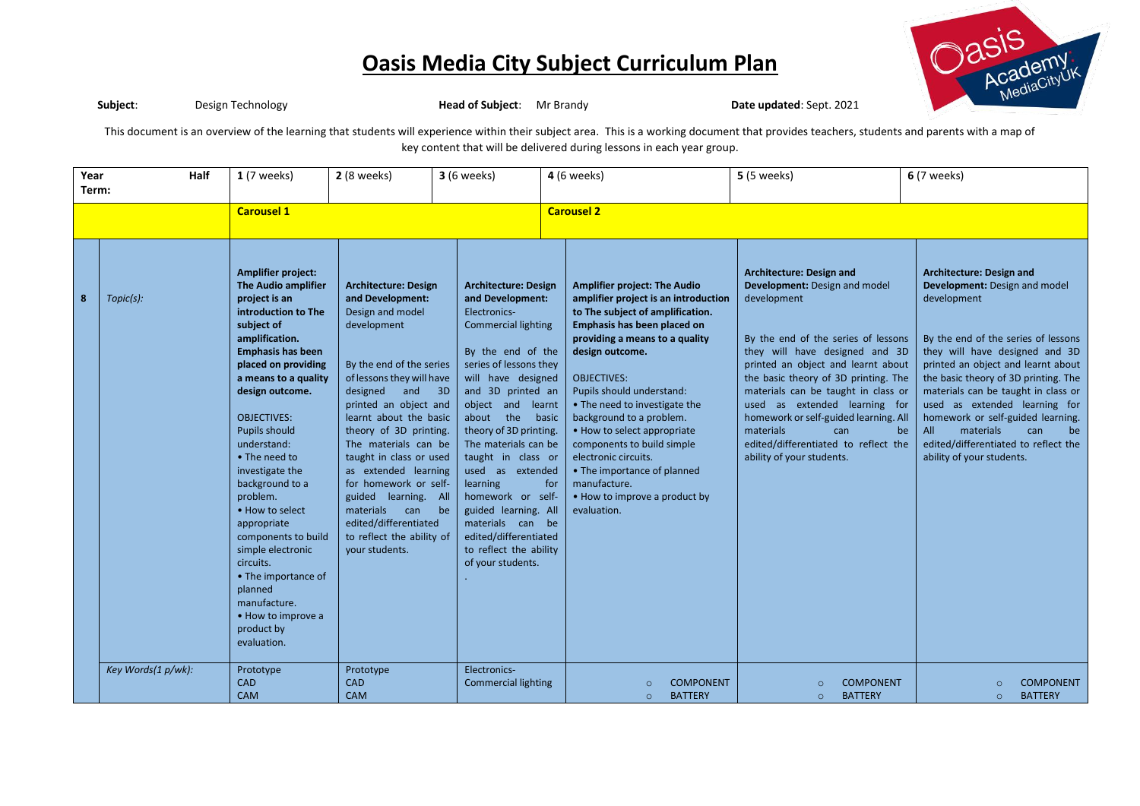

**Subject**: Design Technology **Head of Subject**: Mr Brandy **Date updated**: Sept. 2021

This document is an overview of the learning that students will experience within their subject area. This is a working document that provides teachers, students and parents with a map of key content that will be delivered during lessons in each year group.

| Year<br>Half<br>Term:   |                                 | $1(7$ weeks) | $2(8$ weeks)                                                                                                                                                                                                                                                                                                                                                                                                                                                                                                                                                  | <b>3</b> (6 weeks)                                                                                                                                                                                                                                                                                                                                                                                                                                                  | 4 (6 weeks)                                                                                                                                                                                                                                                                                                                                                                                                                                                                                            |                   | <b>5</b> (5 weeks)                                                                                                                                                                                                                                                                                                                                                                                                                                                                                      | <b>6</b> (7 weeks)                                                                                                                                                                                                                                                                                                                                                                                                                        |                                                                                                                                                                                                                                                                                                                                                                                                                                                                 |  |
|-------------------------|---------------------------------|--------------|---------------------------------------------------------------------------------------------------------------------------------------------------------------------------------------------------------------------------------------------------------------------------------------------------------------------------------------------------------------------------------------------------------------------------------------------------------------------------------------------------------------------------------------------------------------|---------------------------------------------------------------------------------------------------------------------------------------------------------------------------------------------------------------------------------------------------------------------------------------------------------------------------------------------------------------------------------------------------------------------------------------------------------------------|--------------------------------------------------------------------------------------------------------------------------------------------------------------------------------------------------------------------------------------------------------------------------------------------------------------------------------------------------------------------------------------------------------------------------------------------------------------------------------------------------------|-------------------|---------------------------------------------------------------------------------------------------------------------------------------------------------------------------------------------------------------------------------------------------------------------------------------------------------------------------------------------------------------------------------------------------------------------------------------------------------------------------------------------------------|-------------------------------------------------------------------------------------------------------------------------------------------------------------------------------------------------------------------------------------------------------------------------------------------------------------------------------------------------------------------------------------------------------------------------------------------|-----------------------------------------------------------------------------------------------------------------------------------------------------------------------------------------------------------------------------------------------------------------------------------------------------------------------------------------------------------------------------------------------------------------------------------------------------------------|--|
|                         |                                 |              | <b>Carousel 1</b>                                                                                                                                                                                                                                                                                                                                                                                                                                                                                                                                             |                                                                                                                                                                                                                                                                                                                                                                                                                                                                     |                                                                                                                                                                                                                                                                                                                                                                                                                                                                                                        | <b>Carousel 2</b> |                                                                                                                                                                                                                                                                                                                                                                                                                                                                                                         |                                                                                                                                                                                                                                                                                                                                                                                                                                           |                                                                                                                                                                                                                                                                                                                                                                                                                                                                 |  |
| $\overline{\mathbf{8}}$ | Topic(s):<br>Key Words(1 p/wk): |              | <b>Amplifier project:</b><br><b>The Audio amplifier</b><br>project is an<br>introduction to The<br>subject of<br>amplification.<br><b>Emphasis has been</b><br>placed on providing<br>a means to a quality<br>design outcome.<br><b>OBJECTIVES:</b><br><b>Pupils should</b><br>understand:<br>• The need to<br>investigate the<br>background to a<br>problem.<br>• How to select<br>appropriate<br>components to build<br>simple electronic<br>circuits.<br>• The importance of<br>planned<br>manufacture.<br>• How to improve a<br>product by<br>evaluation. | <b>Architecture: Design</b><br>and Development:<br>Design and model<br>development<br>By the end of the series<br>of lessons they will have<br>designed and 3D<br>printed an object and<br>learnt about the basic<br>theory of 3D printing.<br>The materials can be<br>taught in class or used<br>as extended learning<br>for homework or self-<br>guided learning. All<br>materials<br>can<br>edited/differentiated<br>to reflect the ability of<br>your students. | <b>Architecture: Design</b><br>and Development:<br>Electronics-<br><b>Commercial lighting</b><br>By the end of the<br>series of lessons they<br>will have designed<br>and 3D printed an<br>object and learnt<br>about the basic<br>theory of 3D printing.<br>The materials can be<br>taught in class or<br>used as extended<br>learning<br>homework or self-<br>guided learning. All<br>be<br>materials can be<br>edited/differentiated<br>to reflect the ability<br>of your students.<br>Electronics- | for               | <b>Amplifier project: The Audio</b><br>amplifier project is an introduction<br>to The subject of amplification.<br>Emphasis has been placed on<br>providing a means to a quality<br>design outcome.<br><b>OBJECTIVES:</b><br>Pupils should understand:<br>• The need to investigate the<br>background to a problem.<br>• How to select appropriate<br>components to build simple<br>electronic circuits.<br>• The importance of planned<br>manufacture.<br>• How to improve a product by<br>evaluation. | Architecture: Design and<br>Development: Design and model<br>development<br>By the end of the series of lessons<br>they will have designed and 3D<br>printed an object and learnt about<br>the basic theory of 3D printing. The<br>materials can be taught in class or<br>used as extended learning for<br>homework or self-guided learning. All<br>materials<br>can<br>edited/differentiated to reflect the<br>ability of your students. | <b>Architecture: Design and</b><br>Development: Design and model<br>development<br>By the end of the series of lessons<br>they will have designed and 3D<br>printed an object and learnt about<br>the basic theory of 3D printing. The<br>materials can be taught in class or<br>used as extended learning for<br>homework or self-guided learning.<br>materials<br>All<br>can<br>be<br>be<br>edited/differentiated to reflect the<br>ability of your students. |  |
|                         |                                 |              | Prototype<br><b>CAD</b><br><b>CAM</b>                                                                                                                                                                                                                                                                                                                                                                                                                                                                                                                         | Prototype<br><b>CAD</b><br><b>CAM</b>                                                                                                                                                                                                                                                                                                                                                                                                                               | <b>Commercial lighting</b>                                                                                                                                                                                                                                                                                                                                                                                                                                                                             |                   | <b>COMPONENT</b><br>$\circ$<br><b>BATTERY</b><br>$\circ$                                                                                                                                                                                                                                                                                                                                                                                                                                                | <b>COMPONENT</b><br>$\circ$<br><b>BATTERY</b><br>$\circ$                                                                                                                                                                                                                                                                                                                                                                                  | <b>COMPONENT</b><br>$\circ$<br><b>BATTERY</b><br>$\circ$                                                                                                                                                                                                                                                                                                                                                                                                        |  |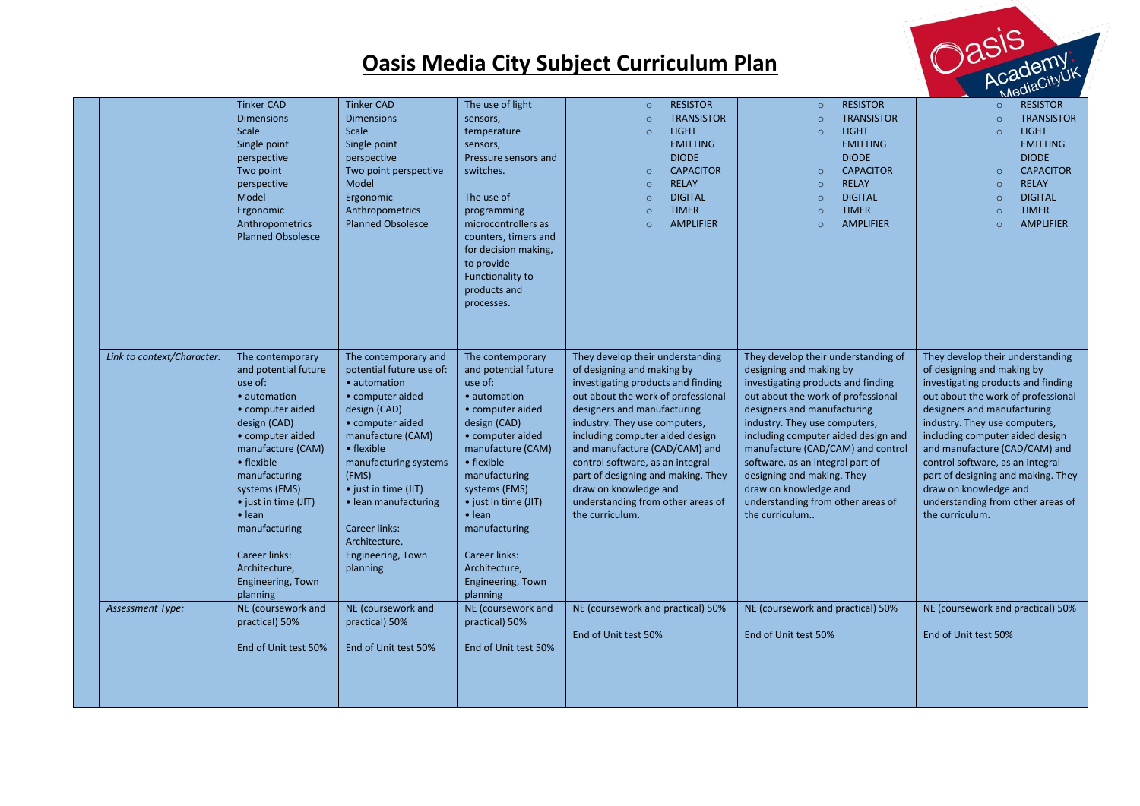

|                            |                                                                                                                                                                                                                                                                                                                                |                                                                                                                                                                                                                                                                                                                         |                                                                                                                                                                                                                                                                                                                                       |                                                                                                                                                                                                                                                                                                                                                                                                                                           |                                                                                                                                                                                                                                                                                                                                                                                                                                          | Meu <sub>re</sub>                                                                                                                                                                                                                                                                                                                                                                                                                         |
|----------------------------|--------------------------------------------------------------------------------------------------------------------------------------------------------------------------------------------------------------------------------------------------------------------------------------------------------------------------------|-------------------------------------------------------------------------------------------------------------------------------------------------------------------------------------------------------------------------------------------------------------------------------------------------------------------------|---------------------------------------------------------------------------------------------------------------------------------------------------------------------------------------------------------------------------------------------------------------------------------------------------------------------------------------|-------------------------------------------------------------------------------------------------------------------------------------------------------------------------------------------------------------------------------------------------------------------------------------------------------------------------------------------------------------------------------------------------------------------------------------------|------------------------------------------------------------------------------------------------------------------------------------------------------------------------------------------------------------------------------------------------------------------------------------------------------------------------------------------------------------------------------------------------------------------------------------------|-------------------------------------------------------------------------------------------------------------------------------------------------------------------------------------------------------------------------------------------------------------------------------------------------------------------------------------------------------------------------------------------------------------------------------------------|
|                            | <b>Tinker CAD</b><br><b>Dimensions</b><br>Scale<br>Single point<br>perspective<br>Two point<br>perspective<br>Model<br>Ergonomic<br>Anthropometrics<br><b>Planned Obsolesce</b>                                                                                                                                                | <b>Tinker CAD</b><br><b>Dimensions</b><br>Scale<br>Single point<br>perspective<br>Two point perspective<br>Model<br>Ergonomic<br>Anthropometrics<br><b>Planned Obsolesce</b>                                                                                                                                            | The use of light<br>sensors,<br>temperature<br>sensors,<br>Pressure sensors and<br>switches.<br>The use of<br>programming<br>microcontrollers as<br>counters, timers and<br>for decision making,<br>to provide<br>Functionality to<br>products and<br>processes.                                                                      | <b>RESISTOR</b><br>$\circ$<br><b>TRANSISTOR</b><br>$\circ$<br><b>LIGHT</b><br>$\circ$<br><b>EMITTING</b><br><b>DIODE</b><br><b>CAPACITOR</b><br>$\circ$<br><b>RELAY</b><br>$\circ$<br><b>DIGITAL</b><br>$\circ$<br><b>TIMER</b><br>$\circ$<br><b>AMPLIFIER</b><br>$\circ$                                                                                                                                                                 | <b>RESISTOR</b><br>$\circ$<br><b>TRANSISTOR</b><br>$\circ$<br><b>LIGHT</b><br>$\circ$<br><b>EMITTING</b><br><b>DIODE</b><br><b>CAPACITOR</b><br>$\circ$<br><b>RELAY</b><br>$\circ$<br><b>DIGITAL</b><br>$\circ$<br><b>TIMER</b><br>$\circ$<br><b>AMPLIFIER</b><br>$\circ$                                                                                                                                                                | <b>RESISTOR</b><br>$\circ$<br><b>TRANSISTOR</b><br>$\circ$<br><b>LIGHT</b><br>$\circ$<br><b>EMITTING</b><br><b>DIODE</b><br><b>CAPACITOR</b><br>$\circ$<br><b>RELAY</b><br>$\circ$<br><b>DIGITAL</b><br>$\circ$<br><b>TIMER</b><br>$\circ$<br><b>AMPLIFIER</b><br>$\circ$                                                                                                                                                                 |
| Link to context/Character: | The contemporary<br>and potential future<br>use of:<br>• automation<br>• computer aided<br>design (CAD)<br>• computer aided<br>manufacture (CAM)<br>• flexible<br>manufacturing<br>systems (FMS)<br>• just in time (JIT)<br>$\bullet$ lean<br>manufacturing<br>Career links:<br>Architecture,<br>Engineering, Town<br>planning | The contemporary and<br>potential future use of:<br>· automation<br>• computer aided<br>design (CAD)<br>• computer aided<br>manufacture (CAM)<br>• flexible<br>manufacturing systems<br>(FMS)<br>• just in time (JIT)<br>• lean manufacturing<br><b>Career links:</b><br>Architecture,<br>Engineering, Town<br>planning | The contemporary<br>and potential future<br>use of:<br>• automation<br>• computer aided<br>design (CAD)<br>• computer aided<br>manufacture (CAM)<br>• flexible<br>manufacturing<br>systems (FMS)<br>• just in time (JIT)<br>$\bullet$ lean<br>manufacturing<br><b>Career links:</b><br>Architecture,<br>Engineering, Town<br>planning | They develop their understanding<br>of designing and making by<br>investigating products and finding<br>out about the work of professional<br>designers and manufacturing<br>industry. They use computers,<br>including computer aided design<br>and manufacture (CAD/CAM) and<br>control software, as an integral<br>part of designing and making. They<br>draw on knowledge and<br>understanding from other areas of<br>the curriculum. | They develop their understanding of<br>designing and making by<br>investigating products and finding<br>out about the work of professional<br>designers and manufacturing<br>industry. They use computers,<br>including computer aided design and<br>manufacture (CAD/CAM) and control<br>software, as an integral part of<br>designing and making. They<br>draw on knowledge and<br>understanding from other areas of<br>the curriculum | They develop their understanding<br>of designing and making by<br>investigating products and finding<br>out about the work of professional<br>designers and manufacturing<br>industry. They use computers,<br>including computer aided design<br>and manufacture (CAD/CAM) and<br>control software, as an integral<br>part of designing and making. They<br>draw on knowledge and<br>understanding from other areas of<br>the curriculum. |
| <b>Assessment Type:</b>    | NE (coursework and<br>practical) 50%<br>End of Unit test 50%                                                                                                                                                                                                                                                                   | NE (coursework and<br>practical) 50%<br>End of Unit test 50%                                                                                                                                                                                                                                                            | NE (coursework and<br>practical) 50%<br>End of Unit test 50%                                                                                                                                                                                                                                                                          | NE (coursework and practical) 50%<br>End of Unit test 50%                                                                                                                                                                                                                                                                                                                                                                                 | NE (coursework and practical) 50%<br>End of Unit test 50%                                                                                                                                                                                                                                                                                                                                                                                | NE (coursework and practical) 50%<br>End of Unit test 50%                                                                                                                                                                                                                                                                                                                                                                                 |
|                            |                                                                                                                                                                                                                                                                                                                                |                                                                                                                                                                                                                                                                                                                         |                                                                                                                                                                                                                                                                                                                                       |                                                                                                                                                                                                                                                                                                                                                                                                                                           |                                                                                                                                                                                                                                                                                                                                                                                                                                          |                                                                                                                                                                                                                                                                                                                                                                                                                                           |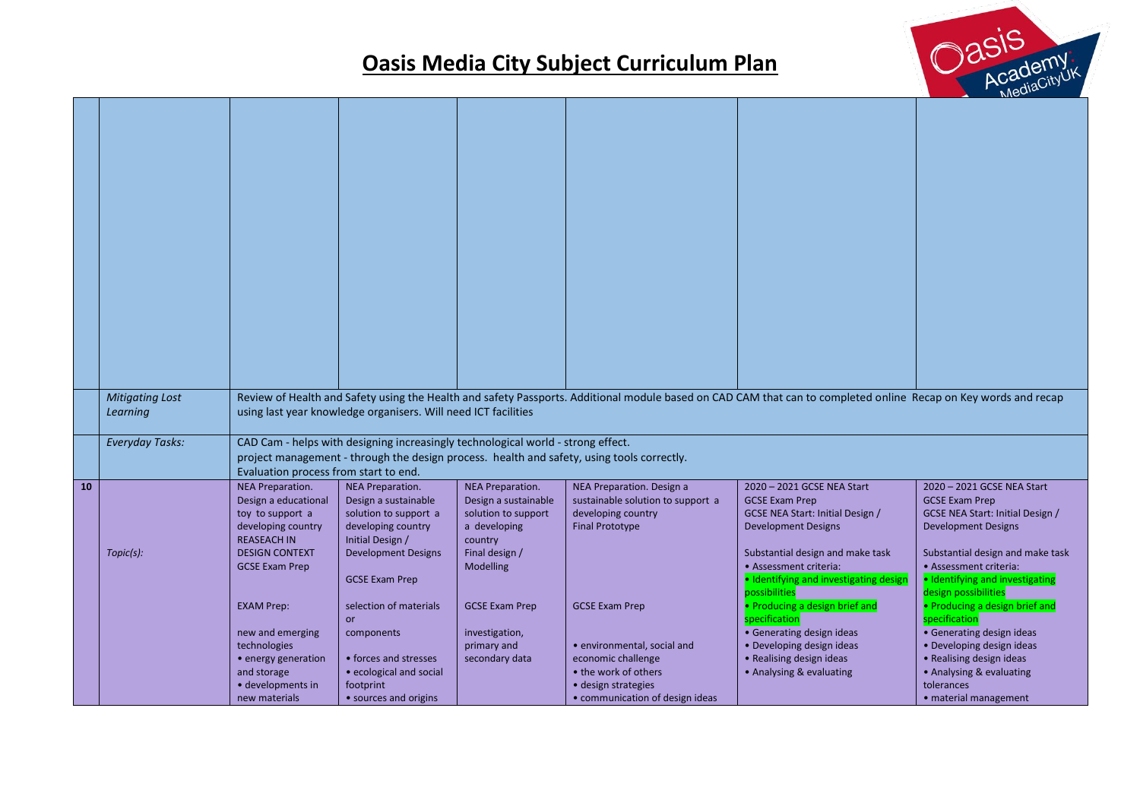

|    | <b>Mitigating Lost</b><br>Learning |                                             | using last year knowledge organisers. Will need ICT facilities                   |                                          |                                                                                            | Review of Health and Safety using the Health and safety Passports. Additional module based on CAD CAM that can to completed online Recap on Key words and recap |                                                        |
|----|------------------------------------|---------------------------------------------|----------------------------------------------------------------------------------|------------------------------------------|--------------------------------------------------------------------------------------------|-----------------------------------------------------------------------------------------------------------------------------------------------------------------|--------------------------------------------------------|
|    |                                    |                                             |                                                                                  |                                          |                                                                                            |                                                                                                                                                                 |                                                        |
|    | <b>Everyday Tasks:</b>             |                                             | CAD Cam - helps with designing increasingly technological world - strong effect. |                                          |                                                                                            |                                                                                                                                                                 |                                                        |
|    |                                    | Evaluation process from start to end.       |                                                                                  |                                          | project management - through the design process. health and safety, using tools correctly. |                                                                                                                                                                 |                                                        |
| 10 |                                    | NEA Preparation.<br>Design a educational    | NEA Preparation.<br>Design a sustainable                                         | NEA Preparation.<br>Design a sustainable | NEA Preparation. Design a<br>sustainable solution to support a                             | 2020 - 2021 GCSE NEA Start<br><b>GCSE Exam Prep</b>                                                                                                             | 2020 - 2021 GCSE NEA Start<br><b>GCSE Exam Prep</b>    |
|    |                                    | toy to support a                            | solution to support a                                                            | solution to support                      | developing country                                                                         | GCSE NEA Start: Initial Design /                                                                                                                                | GCSE NEA Start: Initial Design /                       |
|    |                                    | developing country                          | developing country                                                               | a developing                             | <b>Final Prototype</b>                                                                     | <b>Development Designs</b>                                                                                                                                      | <b>Development Designs</b>                             |
|    | Topic(s):                          | <b>REASEACH IN</b><br><b>DESIGN CONTEXT</b> | Initial Design /<br><b>Development Designs</b>                                   | country<br>Final design /                |                                                                                            | Substantial design and make task                                                                                                                                | Substantial design and make task                       |
|    |                                    | <b>GCSE Exam Prep</b>                       |                                                                                  | Modelling                                |                                                                                            | • Assessment criteria:                                                                                                                                          | • Assessment criteria:                                 |
|    |                                    |                                             | <b>GCSE Exam Prep</b>                                                            |                                          |                                                                                            | · Identifying and investigating design                                                                                                                          | · Identifying and investigating                        |
|    |                                    | <b>EXAM Prep:</b>                           | selection of materials                                                           | <b>GCSE Exam Prep</b>                    | <b>GCSE Exam Prep</b>                                                                      | possibilities<br>• Producing a design brief and                                                                                                                 | design possibilities<br>• Producing a design brief and |
|    |                                    |                                             | or                                                                               |                                          |                                                                                            | specification                                                                                                                                                   | specification                                          |
|    |                                    | new and emerging                            | components                                                                       | investigation,                           |                                                                                            | • Generating design ideas                                                                                                                                       | • Generating design ideas                              |
|    |                                    | technologies                                |                                                                                  | primary and                              | • environmental, social and                                                                | • Developing design ideas                                                                                                                                       | • Developing design ideas                              |
|    |                                    | • energy generation                         | • forces and stresses                                                            | secondary data                           | economic challenge                                                                         | • Realising design ideas                                                                                                                                        | • Realising design ideas                               |
|    |                                    | and storage<br>· developments in            | • ecological and social<br>footprint                                             |                                          | • the work of others<br>• design strategies                                                | • Analysing & evaluating                                                                                                                                        | • Analysing & evaluating<br>tolerances                 |
|    |                                    | new materials                               | • sources and origins                                                            |                                          | • communication of design ideas                                                            |                                                                                                                                                                 | • material management                                  |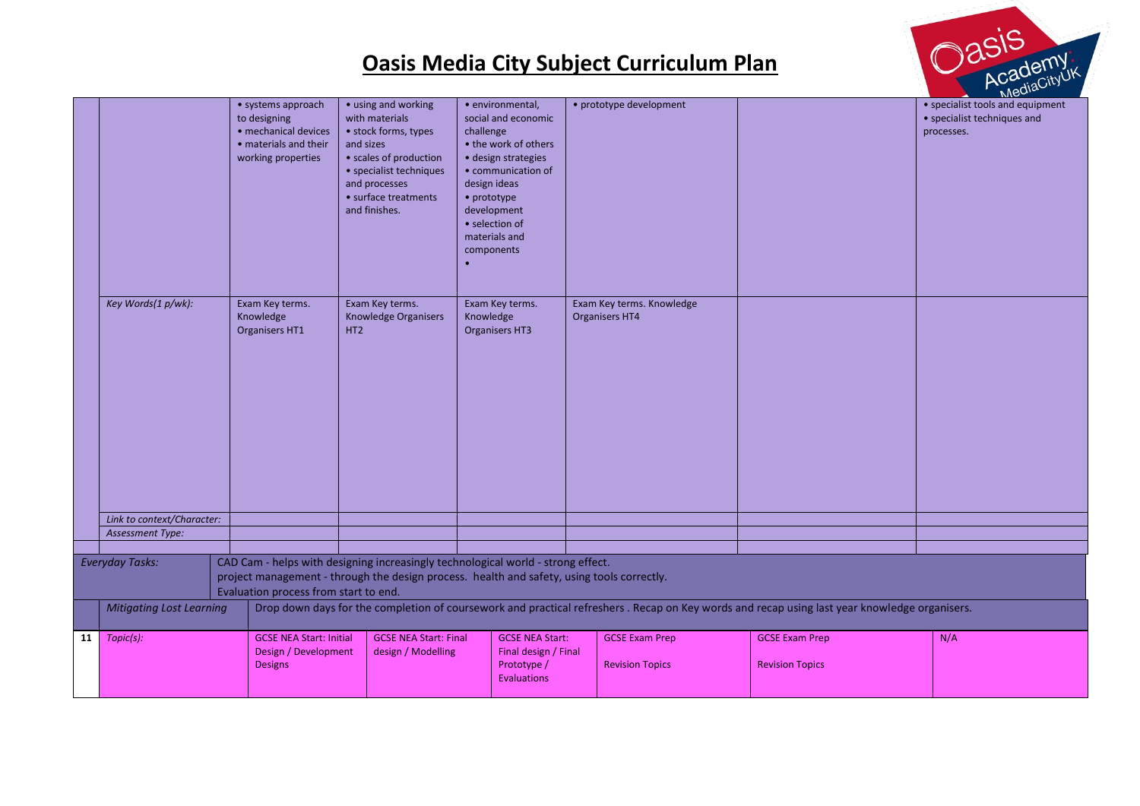



|    |                                 |                                                                                                           |                                                                                                                                                                                           |                                                                                                                                                                                                                          |                                                 |                                                                                                                                              | $M_{\odot}$                                                                   |
|----|---------------------------------|-----------------------------------------------------------------------------------------------------------|-------------------------------------------------------------------------------------------------------------------------------------------------------------------------------------------|--------------------------------------------------------------------------------------------------------------------------------------------------------------------------------------------------------------------------|-------------------------------------------------|----------------------------------------------------------------------------------------------------------------------------------------------|-------------------------------------------------------------------------------|
|    |                                 | • systems approach<br>to designing<br>· mechanical devices<br>• materials and their<br>working properties | • using and working<br>with materials<br>• stock forms, types<br>and sizes<br>• scales of production<br>• specialist techniques<br>and processes<br>• surface treatments<br>and finishes. | · environmental,<br>social and economic<br>challenge<br>• the work of others<br>· design strategies<br>• communication of<br>design ideas<br>• prototype<br>development<br>· selection of<br>materials and<br>components | • prototype development                         |                                                                                                                                              | • specialist tools and equipment<br>• specialist techniques and<br>processes. |
|    | Key Words(1 p/wk):              | Exam Key terms.<br>Knowledge<br>Organisers HT1                                                            | Exam Key terms.<br>Knowledge Organisers<br>HT <sub>2</sub>                                                                                                                                | Exam Key terms.<br>Knowledge<br>Organisers HT3                                                                                                                                                                           | Exam Key terms. Knowledge<br>Organisers HT4     |                                                                                                                                              |                                                                               |
|    | Link to context/Character:      |                                                                                                           |                                                                                                                                                                                           |                                                                                                                                                                                                                          |                                                 |                                                                                                                                              |                                                                               |
|    | <b>Assessment Type:</b>         |                                                                                                           |                                                                                                                                                                                           |                                                                                                                                                                                                                          |                                                 |                                                                                                                                              |                                                                               |
|    |                                 |                                                                                                           | CAD Cam - helps with designing increasingly technological world - strong effect.                                                                                                          |                                                                                                                                                                                                                          |                                                 |                                                                                                                                              |                                                                               |
|    | <b>Everyday Tasks:</b>          | Evaluation process from start to end.                                                                     | project management - through the design process. health and safety, using tools correctly.                                                                                                |                                                                                                                                                                                                                          |                                                 |                                                                                                                                              |                                                                               |
|    | <b>Mitigating Lost Learning</b> |                                                                                                           |                                                                                                                                                                                           |                                                                                                                                                                                                                          |                                                 | Drop down days for the completion of coursework and practical refreshers. Recap on Key words and recap using last year knowledge organisers. |                                                                               |
| 11 | Topic(s):                       | <b>GCSE NEA Start: Initial</b><br>Design / Development<br><b>Designs</b>                                  | <b>GCSE NEA Start: Final</b><br>design / Modelling                                                                                                                                        | <b>GCSE NEA Start:</b><br>Final design / Final<br>Prototype /<br>Evaluations                                                                                                                                             | <b>GCSE Exam Prep</b><br><b>Revision Topics</b> | <b>GCSE Exam Prep</b><br><b>Revision Topics</b>                                                                                              | N/A                                                                           |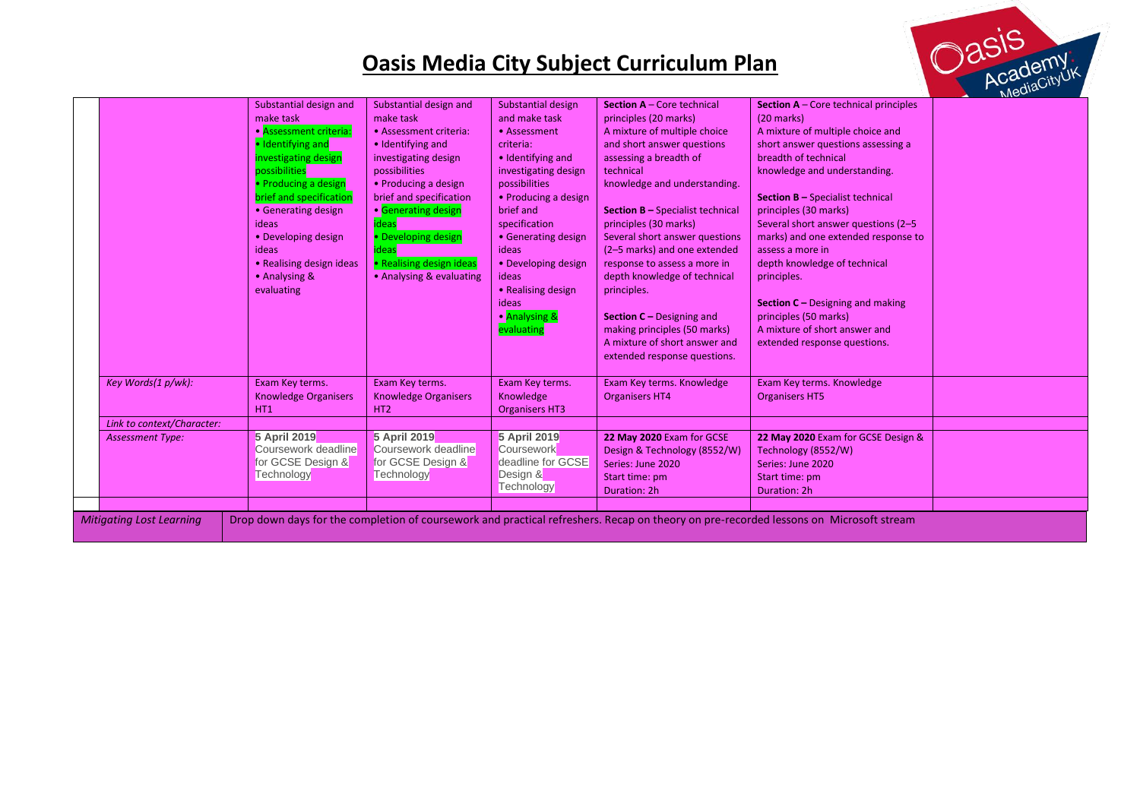

|                                                                                                                                                                          |                             |                             |                        |                                         |                                                |  | Neur- |
|--------------------------------------------------------------------------------------------------------------------------------------------------------------------------|-----------------------------|-----------------------------|------------------------|-----------------------------------------|------------------------------------------------|--|-------|
|                                                                                                                                                                          | Substantial design and      | Substantial design and      | Substantial design     | <b>Section A - Core technical</b>       | <b>Section A</b> $-$ Core technical principles |  |       |
|                                                                                                                                                                          | make task                   | make task                   | and make task          | principles (20 marks)                   | $(20$ marks)                                   |  |       |
|                                                                                                                                                                          | • Assessment criteria:      | • Assessment criteria:      | • Assessment           | A mixture of multiple choice            | A mixture of multiple choice and               |  |       |
|                                                                                                                                                                          | · Identifying and           | · Identifying and           | criteria:              | and short answer questions              | short answer questions assessing a             |  |       |
|                                                                                                                                                                          | investigating design        | investigating design        | • Identifying and      | assessing a breadth of                  | breadth of technical                           |  |       |
|                                                                                                                                                                          | possibilities               | possibilities               | investigating design   | technical                               | knowledge and understanding.                   |  |       |
|                                                                                                                                                                          | • Producing a design        | • Producing a design        | possibilities          | knowledge and understanding.            |                                                |  |       |
|                                                                                                                                                                          | brief and specification     | brief and specification     | • Producing a design   |                                         | <b>Section B - Specialist technical</b>        |  |       |
|                                                                                                                                                                          | • Generating design         | • Generating design         | brief and              | <b>Section B</b> - Specialist technical | principles (30 marks)                          |  |       |
|                                                                                                                                                                          | ideas                       | <b>ideas</b>                | specification          | principles (30 marks)                   | Several short answer questions (2-5            |  |       |
|                                                                                                                                                                          | • Developing design         | • Developing design         | • Generating design    | Several short answer questions          | marks) and one extended response to            |  |       |
|                                                                                                                                                                          | ideas                       | <b>ideas</b>                | ideas                  | (2-5 marks) and one extended            | assess a more in                               |  |       |
|                                                                                                                                                                          | • Realising design ideas    | • Realising design ideas    | • Developing design    | response to assess a more in            | depth knowledge of technical                   |  |       |
|                                                                                                                                                                          | • Analysing &               | • Analysing & evaluating    | ideas                  | depth knowledge of technical            | principles.                                    |  |       |
|                                                                                                                                                                          | evaluating                  |                             | • Realising design     | principles.                             |                                                |  |       |
|                                                                                                                                                                          |                             |                             | ideas                  |                                         | <b>Section C</b> – Designing and making        |  |       |
|                                                                                                                                                                          |                             |                             | • Analysing &          | <b>Section C</b> – Designing and        | principles (50 marks)                          |  |       |
|                                                                                                                                                                          |                             |                             | evaluating             | making principles (50 marks)            | A mixture of short answer and                  |  |       |
|                                                                                                                                                                          |                             |                             |                        | A mixture of short answer and           | extended response questions.                   |  |       |
|                                                                                                                                                                          |                             |                             |                        | extended response questions.            |                                                |  |       |
|                                                                                                                                                                          |                             |                             |                        |                                         |                                                |  |       |
| Key Words(1 p/wk):                                                                                                                                                       | Exam Key terms.             | Exam Key terms.             | Exam Key terms.        | Exam Key terms. Knowledge               | Exam Key terms. Knowledge                      |  |       |
|                                                                                                                                                                          | <b>Knowledge Organisers</b> | <b>Knowledge Organisers</b> | Knowledge              | <b>Organisers HT4</b>                   | <b>Organisers HT5</b>                          |  |       |
|                                                                                                                                                                          | HT1                         | HT <sub>2</sub>             | <b>Organisers HT3</b>  |                                         |                                                |  |       |
| Link to context/Character:                                                                                                                                               |                             |                             |                        |                                         |                                                |  |       |
| <b>Assessment Type:</b>                                                                                                                                                  | 5 April 2019                | 5 April 2019                | 5 April 2019           | 22 May 2020 Exam for GCSE               | 22 May 2020 Exam for GCSE Design &             |  |       |
|                                                                                                                                                                          | Coursework deadline         | Coursework deadline         | Coursework             | Design & Technology (8552/W)            | Technology (8552/W)                            |  |       |
|                                                                                                                                                                          | for GCSE Design &           | for GCSE Design &           | deadline for GCSE      | Series: June 2020                       | Series: June 2020                              |  |       |
|                                                                                                                                                                          | Technology                  | Technology                  | Design &<br>Technology | Start time: pm                          | Start time: pm                                 |  |       |
|                                                                                                                                                                          |                             |                             |                        | Duration: 2h                            | Duration: 2h                                   |  |       |
|                                                                                                                                                                          |                             |                             |                        |                                         |                                                |  |       |
| Drop down days for the completion of coursework and practical refreshers. Recap on theory on pre-recorded lessons on Microsoft stream<br><b>Mitigating Lost Learning</b> |                             |                             |                        |                                         |                                                |  |       |
|                                                                                                                                                                          |                             |                             |                        |                                         |                                                |  |       |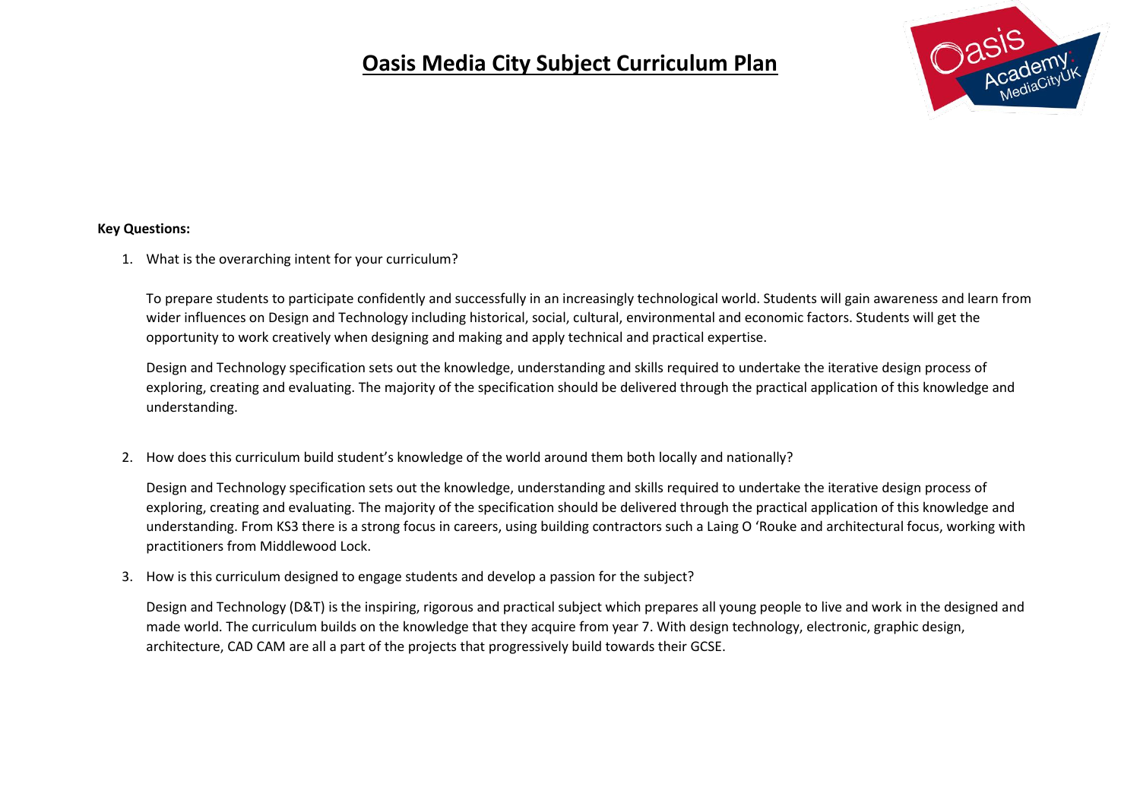

#### **Key Questions:**

1. What is the overarching intent for your curriculum?

To prepare students to participate confidently and successfully in an increasingly technological world. Students will gain awareness and learn from wider influences on Design and Technology including historical, social, cultural, environmental and economic factors. Students will get the opportunity to work creatively when designing and making and apply technical and practical expertise.

Design and Technology specification sets out the knowledge, understanding and skills required to undertake the iterative design process of exploring, creating and evaluating. The majority of the specification should be delivered through the practical application of this knowledge and understanding.

2. How does this curriculum build student's knowledge of the world around them both locally and nationally?

Design and Technology specification sets out the knowledge, understanding and skills required to undertake the iterative design process of exploring, creating and evaluating. The majority of the specification should be delivered through the practical application of this knowledge and understanding. From KS3 there is a strong focus in careers, using building contractors such a Laing O 'Rouke and architectural focus, working with practitioners from Middlewood Lock.

3. How is this curriculum designed to engage students and develop a passion for the subject?

Design and Technology (D&T) is the inspiring, rigorous and practical subject which prepares all young people to live and work in the designed and made world. The curriculum builds on the knowledge that they acquire from year 7. With design technology, electronic, graphic design, architecture, CAD CAM are all a part of the projects that progressively build towards their GCSE.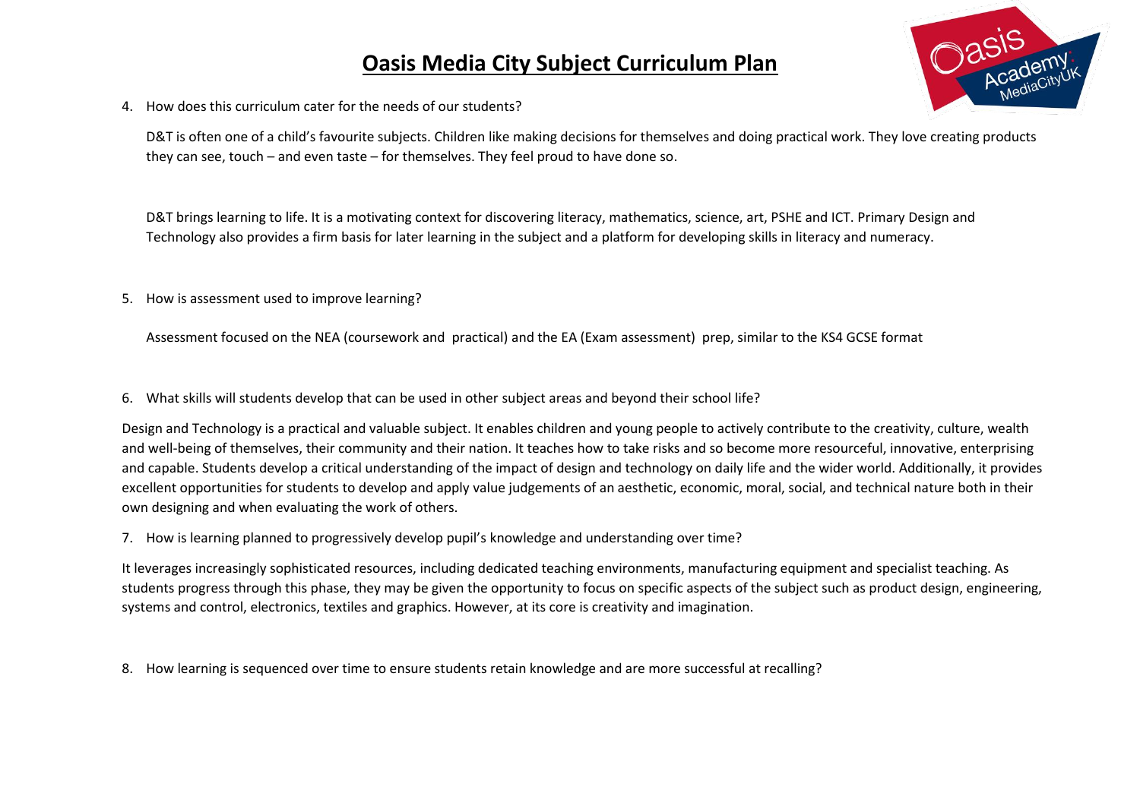

4. How does this curriculum cater for the needs of our students?

D&T is often one of a child's favourite subjects. Children like making decisions for themselves and doing practical work. They love creating products they can see, touch – and even taste – for themselves. They feel proud to have done so.

D&T brings learning to life. It is a motivating context for discovering literacy, mathematics, science, art, PSHE and ICT. Primary Design and Technology also provides a firm basis for later learning in the subject and a platform for developing skills in literacy and numeracy.

5. How is assessment used to improve learning?

Assessment focused on the NEA (coursework and practical) and the EA (Exam assessment) prep, similar to the KS4 GCSE format

6. What skills will students develop that can be used in other subject areas and beyond their school life?

Design and Technology is a practical and valuable subject. It enables children and young people to actively contribute to the creativity, culture, wealth and well-being of themselves, their community and their nation. It teaches how to take risks and so become more resourceful, innovative, enterprising and capable. Students develop a critical understanding of the impact of design and technology on daily life and the wider world. Additionally, it provides excellent opportunities for students to develop and apply value judgements of an aesthetic, economic, moral, social, and technical nature both in their own designing and when evaluating the work of others.

7. How is learning planned to progressively develop pupil's knowledge and understanding over time?

It leverages increasingly sophisticated resources, including dedicated teaching environments, manufacturing equipment and specialist teaching. As students progress through this phase, they may be given the opportunity to focus on specific aspects of the subject such as product design, engineering, systems and control, electronics, textiles and graphics. However, at its core is creativity and imagination.

8. How learning is sequenced over time to ensure students retain knowledge and are more successful at recalling?